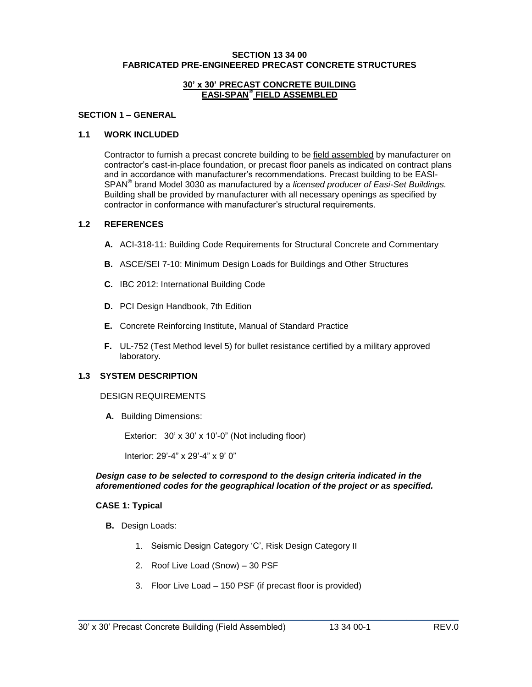#### **SECTION 13 34 00 FABRICATED PRE-ENGINEERED PRECAST CONCRETE STRUCTURES**

#### **30' x 30' PRECAST CONCRETE BUILDING EASI-SPAN® FIELD ASSEMBLED**

## **SECTION 1 – GENERAL**

#### **1.1 WORK INCLUDED**

Contractor to furnish a precast concrete building to be field assembled by manufacturer on contractor's cast-in-place foundation, or precast floor panels as indicated on contract plans and in accordance with manufacturer's recommendations. Precast building to be EASI-SPAN**®** brand Model 3030 as manufactured by a *licensed producer of Easi-Set Buildings.* Building shall be provided by manufacturer with all necessary openings as specified by contractor in conformance with manufacturer's structural requirements.

#### **1.2 REFERENCES**

- **A.** ACI-318-11: Building Code Requirements for Structural Concrete and Commentary
- **B.** ASCE/SEI 7-10: Minimum Design Loads for Buildings and Other Structures
- **C.** IBC 2012: International Building Code
- **D.** PCI Design Handbook, 7th Edition
- **E.** Concrete Reinforcing Institute, Manual of Standard Practice
- **F.** UL-752 (Test Method level 5) for bullet resistance certified by a military approved laboratory.

## **1.3 SYSTEM DESCRIPTION**

#### DESIGN REQUIREMENTS

**A.** Building Dimensions:

Exterior: 30' x 30' x 10'-0" (Not including floor)

Interior: 29'-4" x 29'-4" x 9' 0"

#### *Design case to be selected to correspond to the design criteria indicated in the aforementioned codes for the geographical location of the project or as specified.*

#### **CASE 1: Typical**

- **B.** Design Loads:
	- 1. Seismic Design Category 'C', Risk Design Category II
	- 2. Roof Live Load (Snow) 30 PSF
	- 3. Floor Live Load 150 PSF (if precast floor is provided)

\_\_\_\_\_\_\_\_\_\_\_\_\_\_\_\_\_\_\_\_\_\_\_\_\_\_\_\_\_\_\_\_\_\_\_\_\_\_\_\_\_\_\_\_\_\_\_\_\_\_\_\_\_\_\_\_\_\_\_\_\_\_\_\_\_\_\_\_\_\_\_\_\_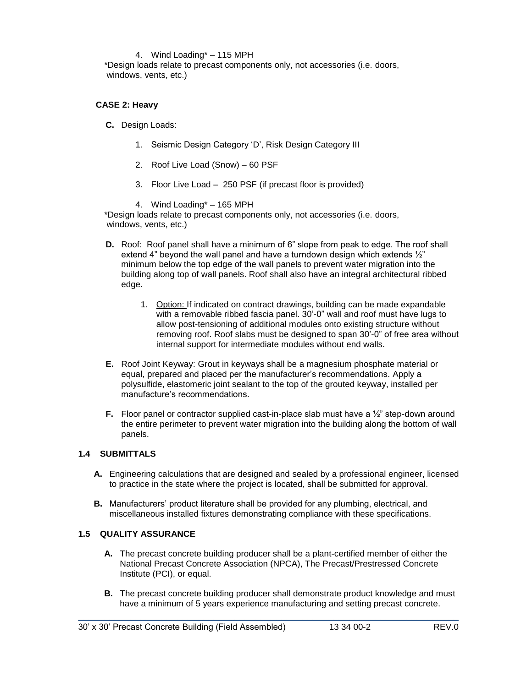### 4. Wind Loading\* – 115 MPH

\*Design loads relate to precast components only, not accessories (i.e. doors, windows, vents, etc.)

## **CASE 2: Heavy**

- **C.** Design Loads:
	- 1. Seismic Design Category 'D', Risk Design Category III
	- 2. Roof Live Load (Snow) 60 PSF
	- 3. Floor Live Load 250 PSF (if precast floor is provided)

4. Wind Loading\* – 165 MPH

\*Design loads relate to precast components only, not accessories (i.e. doors, windows, vents, etc.)

- **D.** Roof: Roof panel shall have a minimum of 6" slope from peak to edge. The roof shall extend 4" beyond the wall panel and have a turndown design which extends ½" minimum below the top edge of the wall panels to prevent water migration into the building along top of wall panels. Roof shall also have an integral architectural ribbed edge.
	- 1. Option: If indicated on contract drawings, building can be made expandable with a removable ribbed fascia panel. 30'-0" wall and roof must have lugs to allow post-tensioning of additional modules onto existing structure without removing roof. Roof slabs must be designed to span 30'-0" of free area without internal support for intermediate modules without end walls.
- **E.** Roof Joint Keyway: Grout in keyways shall be a magnesium phosphate material or equal, prepared and placed per the manufacturer's recommendations. Apply a polysulfide, elastomeric joint sealant to the top of the grouted keyway, installed per manufacture's recommendations.
- **F.** Floor panel or contractor supplied cast-in-place slab must have a  $\frac{1}{2}$ " step-down around the entire perimeter to prevent water migration into the building along the bottom of wall panels.

## **1.4 SUBMITTALS**

- **A.** Engineering calculations that are designed and sealed by a professional engineer, licensed to practice in the state where the project is located, shall be submitted for approval.
- **B.** Manufacturers' product literature shall be provided for any plumbing, electrical, and miscellaneous installed fixtures demonstrating compliance with these specifications.

## **1.5 QUALITY ASSURANCE**

- **A.** The precast concrete building producer shall be a plant-certified member of either the National Precast Concrete Association (NPCA), The Precast/Prestressed Concrete Institute (PCI), or equal.
- **B.** The precast concrete building producer shall demonstrate product knowledge and must have a minimum of 5 years experience manufacturing and setting precast concrete.

\_\_\_\_\_\_\_\_\_\_\_\_\_\_\_\_\_\_\_\_\_\_\_\_\_\_\_\_\_\_\_\_\_\_\_\_\_\_\_\_\_\_\_\_\_\_\_\_\_\_\_\_\_\_\_\_\_\_\_\_\_\_\_\_\_\_\_\_\_\_\_\_\_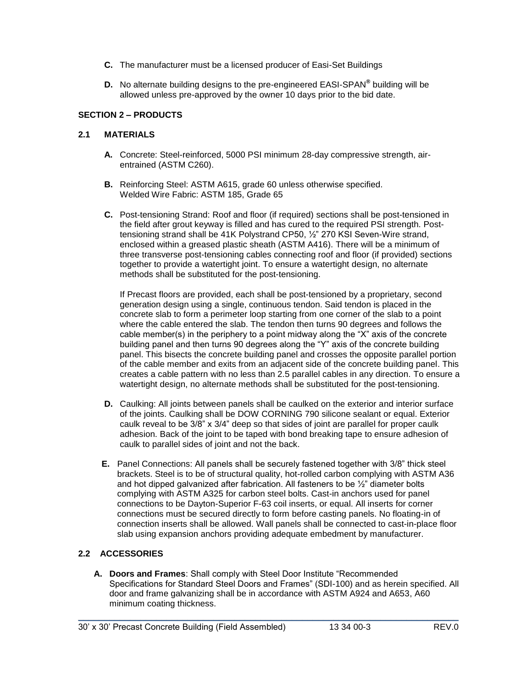- **C.** The manufacturer must be a licensed producer of Easi-Set Buildings
- **D.** No alternate building designs to the pre-engineered EASI-SPAN**®** building will be allowed unless pre-approved by the owner 10 days prior to the bid date.

# **SECTION 2 – PRODUCTS**

## **2.1 MATERIALS**

- **A.** Concrete: Steel-reinforced, 5000 PSI minimum 28-day compressive strength, airentrained (ASTM C260).
- **B.** Reinforcing Steel: ASTM A615, grade 60 unless otherwise specified. Welded Wire Fabric: ASTM 185, Grade 65
- **C.** Post-tensioning Strand: Roof and floor (if required) sections shall be post-tensioned in the field after grout keyway is filled and has cured to the required PSI strength. Posttensioning strand shall be 41K Polystrand CP50, ½" 270 KSI Seven-Wire strand, enclosed within a greased plastic sheath (ASTM A416). There will be a minimum of three transverse post-tensioning cables connecting roof and floor (if provided) sections together to provide a watertight joint. To ensure a watertight design, no alternate methods shall be substituted for the post-tensioning.

If Precast floors are provided, each shall be post-tensioned by a proprietary, second generation design using a single, continuous tendon. Said tendon is placed in the concrete slab to form a perimeter loop starting from one corner of the slab to a point where the cable entered the slab. The tendon then turns 90 degrees and follows the cable member(s) in the periphery to a point midway along the "X" axis of the concrete building panel and then turns 90 degrees along the "Y" axis of the concrete building panel. This bisects the concrete building panel and crosses the opposite parallel portion of the cable member and exits from an adjacent side of the concrete building panel. This creates a cable pattern with no less than 2.5 parallel cables in any direction. To ensure a watertight design, no alternate methods shall be substituted for the post-tensioning.

- **D.** Caulking: All joints between panels shall be caulked on the exterior and interior surface of the joints. Caulking shall be DOW CORNING 790 silicone sealant or equal. Exterior caulk reveal to be 3/8" x 3/4" deep so that sides of joint are parallel for proper caulk adhesion. Back of the joint to be taped with bond breaking tape to ensure adhesion of caulk to parallel sides of joint and not the back.
- **E.** Panel Connections: All panels shall be securely fastened together with 3/8" thick steel brackets. Steel is to be of structural quality, hot-rolled carbon complying with ASTM A36 and hot dipped galvanized after fabrication. All fasteners to be ½" diameter bolts complying with ASTM A325 for carbon steel bolts. Cast-in anchors used for panel connections to be Dayton-Superior F-63 coil inserts, or equal. All inserts for corner connections must be secured directly to form before casting panels. No floating-in of connection inserts shall be allowed. Wall panels shall be connected to cast-in-place floor slab using expansion anchors providing adequate embedment by manufacturer.

# **2.2 ACCESSORIES**

**A. Doors and Frames**: Shall comply with Steel Door Institute "Recommended Specifications for Standard Steel Doors and Frames" (SDI-100) and as herein specified. All door and frame galvanizing shall be in accordance with ASTM A924 and A653, A60 minimum coating thickness.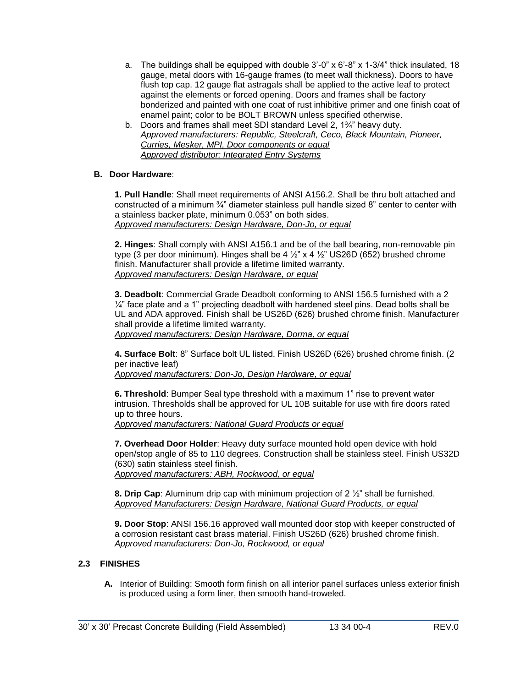- a. The buildings shall be equipped with double  $3'$ -0" x  $6'$ -8" x  $1-3/4$ " thick insulated, 18 gauge, metal doors with 16-gauge frames (to meet wall thickness). Doors to have flush top cap. 12 gauge flat astragals shall be applied to the active leaf to protect against the elements or forced opening. Doors and frames shall be factory bonderized and painted with one coat of rust inhibitive primer and one finish coat of enamel paint; color to be BOLT BROWN unless specified otherwise.
- b. Doors and frames shall meet SDI standard Level 2, 1¾" heavy duty. *Approved manufacturers: Republic, Steelcraft, Ceco, Black Mountain, Pioneer, Curries, Mesker, MPI, Door components or equal Approved distributor: Integrated Entry Systems*

# **B. Door Hardware**:

**1. Pull Handle**: Shall meet requirements of ANSI A156.2. Shall be thru bolt attached and constructed of a minimum ¾" diameter stainless pull handle sized 8" center to center with a stainless backer plate, minimum 0.053" on both sides. *Approved manufacturers: Design Hardware, Don-Jo, or equal*

**2. Hinges**: Shall comply with ANSI A156.1 and be of the ball bearing, non-removable pin type (3 per door minimum). Hinges shall be 4  $\frac{1}{2}$  x 4  $\frac{1}{2}$  US26D (652) brushed chrome finish. Manufacturer shall provide a lifetime limited warranty. *Approved manufacturers: Design Hardware, or equal*

**3. Deadbolt**: Commercial Grade Deadbolt conforming to ANSI 156.5 furnished with a 2  $\frac{1}{4}$ " face plate and a 1" projecting deadbolt with hardened steel pins. Dead bolts shall be UL and ADA approved. Finish shall be US26D (626) brushed chrome finish. Manufacturer shall provide a lifetime limited warranty.

*Approved manufacturers: Design Hardware, Dorma, or equal*

**4. Surface Bolt**: 8" Surface bolt UL listed. Finish US26D (626) brushed chrome finish. (2 per inactive leaf)

*Approved manufacturers: Don-Jo, Design Hardware, or equal*

**6. Threshold**: Bumper Seal type threshold with a maximum 1" rise to prevent water intrusion. Thresholds shall be approved for UL 10B suitable for use with fire doors rated up to three hours.

*Approved manufacturers: National Guard Products or equal* 

**7. Overhead Door Holder**: Heavy duty surface mounted hold open device with hold open/stop angle of 85 to 110 degrees. Construction shall be stainless steel. Finish US32D (630) satin stainless steel finish. *Approved manufacturers: ABH, Rockwood, or equal*

**8. Drip Cap**: Aluminum drip cap with minimum projection of 2 ½" shall be furnished. *Approved Manufacturers: Design Hardware, National Guard Products, or equal*

**9. Door Stop**: ANSI 156.16 approved wall mounted door stop with keeper constructed of a corrosion resistant cast brass material. Finish US26D (626) brushed chrome finish. *Approved manufacturers: Don-Jo, Rockwood, or equal*

# **2.3 FINISHES**

**A.** Interior of Building: Smooth form finish on all interior panel surfaces unless exterior finish is produced using a form liner, then smooth hand-troweled.

\_\_\_\_\_\_\_\_\_\_\_\_\_\_\_\_\_\_\_\_\_\_\_\_\_\_\_\_\_\_\_\_\_\_\_\_\_\_\_\_\_\_\_\_\_\_\_\_\_\_\_\_\_\_\_\_\_\_\_\_\_\_\_\_\_\_\_\_\_\_\_\_\_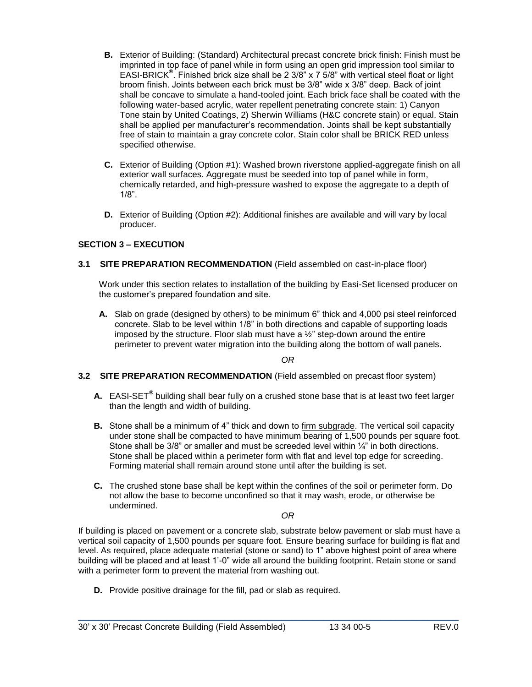- **B.** Exterior of Building: (Standard) Architectural precast concrete brick finish: Finish must be imprinted in top face of panel while in form using an open grid impression tool similar to EASI-BRICK**®** . Finished brick size shall be 2 3/8" x 7 5/8" with vertical steel float or light broom finish. Joints between each brick must be 3/8" wide x 3/8" deep. Back of joint shall be concave to simulate a hand-tooled joint. Each brick face shall be coated with the following water-based acrylic, water repellent penetrating concrete stain: 1) Canyon Tone stain by United Coatings, 2) Sherwin Williams (H&C concrete stain) or equal. Stain shall be applied per manufacturer's recommendation. Joints shall be kept substantially free of stain to maintain a gray concrete color. Stain color shall be BRICK RED unless specified otherwise.
- **C.** Exterior of Building (Option #1): Washed brown riverstone applied-aggregate finish on all exterior wall surfaces. Aggregate must be seeded into top of panel while in form, chemically retarded, and high-pressure washed to expose the aggregate to a depth of 1/8".
- **D.** Exterior of Building (Option #2): Additional finishes are available and will vary by local producer.

# **SECTION 3 – EXECUTION**

**3.1 SITE PREPARATION RECOMMENDATION** (Field assembled on cast-in-place floor)

Work under this section relates to installation of the building by Easi-Set licensed producer on the customer's prepared foundation and site.

**A.** Slab on grade (designed by others) to be minimum 6" thick and 4,000 psi steel reinforced concrete. Slab to be level within 1/8" in both directions and capable of supporting loads imposed by the structure. Floor slab must have a ½" step-down around the entire perimeter to prevent water migration into the building along the bottom of wall panels.

*OR*

## **3.2 SITE PREPARATION RECOMMENDATION** (Field assembled on precast floor system)

- **A.** EASI-SET**®** building shall bear fully on a crushed stone base that is at least two feet larger than the length and width of building.
- **B.** Stone shall be a minimum of 4" thick and down to firm subgrade. The vertical soil capacity under stone shall be compacted to have minimum bearing of 1,500 pounds per square foot. Stone shall be  $3/8$ " or smaller and must be screeded level within  $\frac{1}{4}$ " in both directions. Stone shall be placed within a perimeter form with flat and level top edge for screeding. Forming material shall remain around stone until after the building is set.
- **C.** The crushed stone base shall be kept within the confines of the soil or perimeter form. Do not allow the base to become unconfined so that it may wash, erode, or otherwise be undermined.

*OR*

If building is placed on pavement or a concrete slab, substrate below pavement or slab must have a vertical soil capacity of 1,500 pounds per square foot. Ensure bearing surface for building is flat and level. As required, place adequate material (stone or sand) to 1" above highest point of area where building will be placed and at least 1'-0" wide all around the building footprint. Retain stone or sand with a perimeter form to prevent the material from washing out.

**D.** Provide positive drainage for the fill, pad or slab as required.